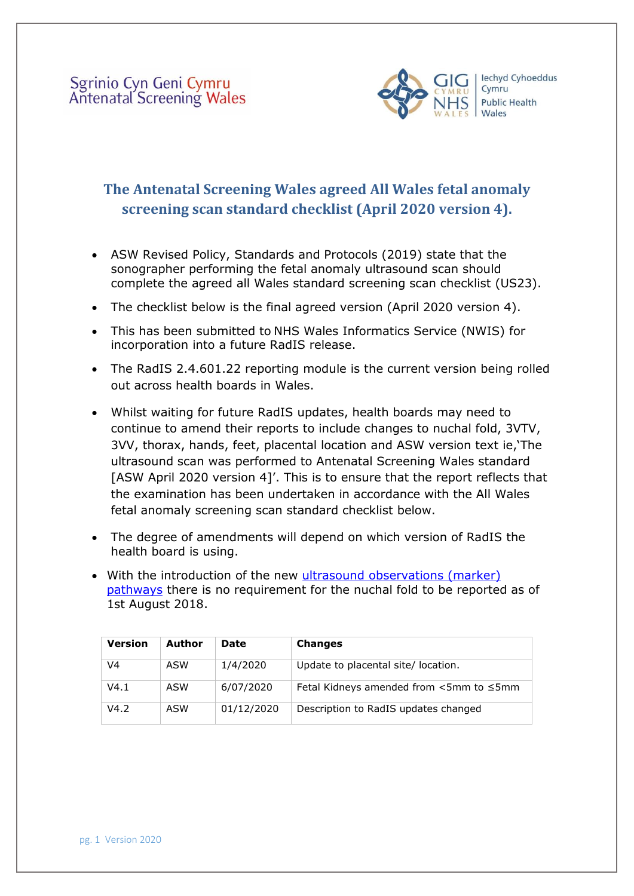

## **The Antenatal Screening Wales agreed All Wales fetal anomaly screening scan standard checklist (April 2020 version 4).**

- ASW Revised Policy, Standards and Protocols (2019) state that the sonographer performing the fetal anomaly ultrasound scan should complete the agreed all Wales standard screening scan checklist (US23).
- The checklist below is the final agreed version (April 2020 version 4).
- This has been submitted to NHS Wales Informatics Service (NWIS) for incorporation into a future RadIS release.
- The RadIS 2.4.601.22 reporting module is the current version being rolled out across health boards in Wales.
- Whilst waiting for future RadIS updates, health boards may need to continue to amend their reports to include changes to nuchal fold, 3VTV, 3VV, thorax, hands, feet, placental location and ASW version text ie,'The ultrasound scan was performed to Antenatal Screening Wales standard [ASW April 2020 version 4]'. This is to ensure that the report reflects that the examination has been undertaken in accordance with the All Wales fetal anomaly screening scan standard checklist below.
- The degree of amendments will depend on which version of RadIS the health board is using.
- With the introduction of the new [ultrasound observations \(marker\)](https://phw.nhs.wales/services-and-teams/screening/antenatal-screening-wales/information-for-professionals/) [pathways](https://phw.nhs.wales/services-and-teams/screening/antenatal-screening-wales/information-for-professionals/) there is no requirement for the nuchal fold to be reported as of 1st August 2018.

| Version | Author | <b>Date</b> | <b>Changes</b>                                      |
|---------|--------|-------------|-----------------------------------------------------|
| V4      | ASW    | 1/4/2020    | Update to placental site/ location.                 |
| V4.1    | ASW    | 6/07/2020   | Fetal Kidneys amended from $\leq$ 5mm to $\leq$ 5mm |
| V4.2    | ASW    | 01/12/2020  | Description to RadIS updates changed                |